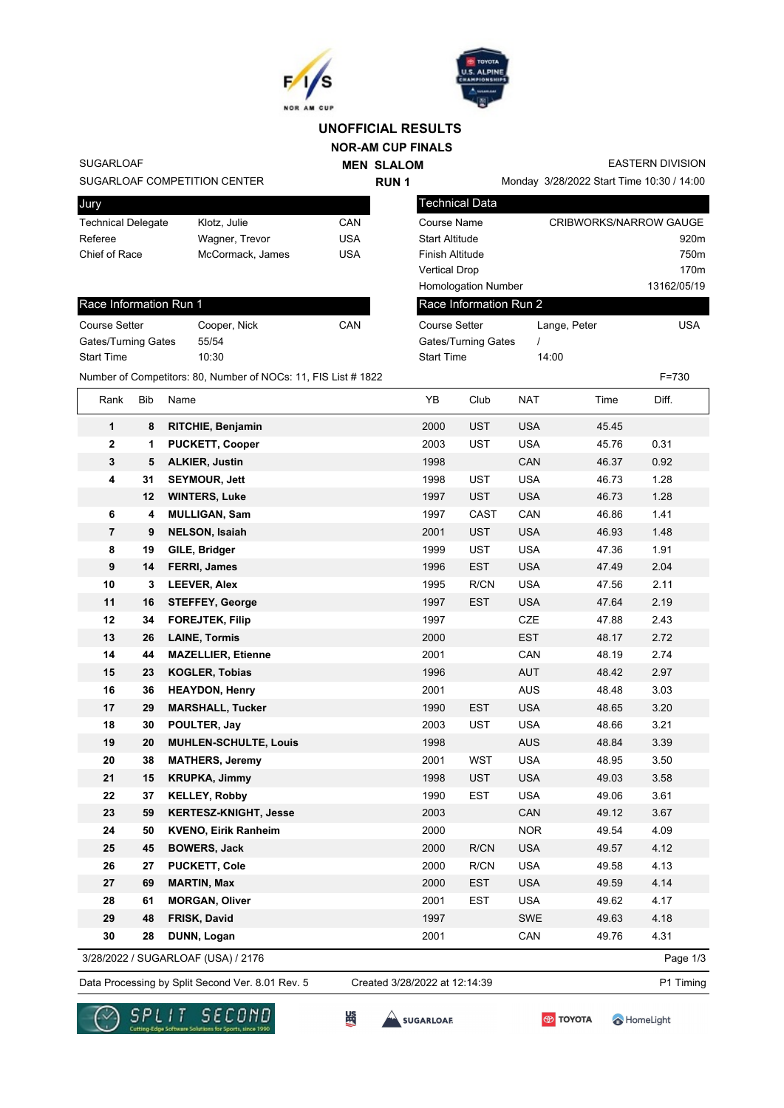



## **UNOFFICIAL RESULTS**

**NOR-AM CUP FINALS MEN SLALOM** 

**RUN 1**

SUGARLOAF

## SUGARLOAF COMPETITION CENTER

| Jury                      |                  |     |
|---------------------------|------------------|-----|
| <b>Technical Delegate</b> | Klotz, Julie     | CAN |
| Referee                   | Wagner, Trevor   | USA |
| Chief of Race             | McCormack, James | USA |
|                           |                  |     |

## Race Information Run 1

| Course Setter       | Cooper, Nick | CAN |
|---------------------|--------------|-----|
| Gates/Turning Gates | 55/54        |     |
| <b>Start Time</b>   | 10:30        |     |

Monday 3/28/2022 Start Time 10:30 / 14:00

EASTERN DIVISION

| <b>Technical Data</b>      |                        |                  |
|----------------------------|------------------------|------------------|
| Course Name                | CRIBWORKS/NARROW GAUGE |                  |
| <b>Start Altitude</b>      |                        | 920 <sub>m</sub> |
| Finish Altitude            |                        | 750 <sub>m</sub> |
| <b>Vertical Drop</b>       |                        | 170 <sub>m</sub> |
| <b>Homologation Number</b> |                        | 13162/05/19      |
| Race Information Run 2     |                        |                  |
| Course Setter              | Lange, Peter           | USA              |
| Gates/Turning Gates        |                        |                  |
| <b>Start Time</b>          | 14:00                  |                  |

| Rank                    | Bib                        | Name                         | YB   | Club       | <b>NAT</b> | Time  | Diff. |
|-------------------------|----------------------------|------------------------------|------|------------|------------|-------|-------|
| 1                       | 8                          | <b>RITCHIE, Benjamin</b>     | 2000 | <b>UST</b> | <b>USA</b> | 45.45 |       |
| $\mathbf 2$             | 1                          | <b>PUCKETT, Cooper</b>       | 2003 | <b>UST</b> | <b>USA</b> | 45.76 | 0.31  |
| 3                       | <b>ALKIER, Justin</b><br>5 |                              | 1998 |            | CAN        | 46.37 | 0.92  |
| 4                       | 31                         | <b>SEYMOUR, Jett</b>         | 1998 | <b>UST</b> | <b>USA</b> | 46.73 | 1.28  |
|                         | 12                         | <b>WINTERS, Luke</b>         | 1997 | <b>UST</b> | <b>USA</b> | 46.73 | 1.28  |
| 6                       | 4                          | <b>MULLIGAN, Sam</b>         | 1997 | CAST       | CAN        | 46.86 | 1.41  |
| $\overline{\mathbf{r}}$ | 9                          | <b>NELSON, Isaiah</b>        | 2001 | <b>UST</b> | <b>USA</b> | 46.93 | 1.48  |
| 8                       | 19                         | GILE, Bridger                | 1999 | <b>UST</b> | <b>USA</b> | 47.36 | 1.91  |
| 9                       | 14                         | <b>FERRI, James</b>          | 1996 | <b>EST</b> | <b>USA</b> | 47.49 | 2.04  |
| 10                      | 3                          | <b>LEEVER, Alex</b>          | 1995 | R/CN       | <b>USA</b> | 47.56 | 2.11  |
| 11                      | 16                         | <b>STEFFEY, George</b>       | 1997 | <b>EST</b> | <b>USA</b> | 47.64 | 2.19  |
| 12                      | 34                         | <b>FOREJTEK, Filip</b>       | 1997 |            | CZE        | 47.88 | 2.43  |
| 13                      | 26                         | <b>LAINE, Tormis</b>         | 2000 |            | EST        | 48.17 | 2.72  |
| 14                      | 44                         | <b>MAZELLIER, Etienne</b>    | 2001 |            | CAN        | 48.19 | 2.74  |
| 15                      | 23                         | <b>KOGLER, Tobias</b>        | 1996 |            | <b>AUT</b> | 48.42 | 2.97  |
| 16                      | 36                         | <b>HEAYDON, Henry</b>        | 2001 |            | <b>AUS</b> | 48.48 | 3.03  |
| 17                      | 29                         | <b>MARSHALL, Tucker</b>      | 1990 | <b>EST</b> | <b>USA</b> | 48.65 | 3.20  |
| 18                      | 30                         | POULTER, Jay                 | 2003 | <b>UST</b> | <b>USA</b> | 48.66 | 3.21  |
| 19                      | 20                         | <b>MUHLEN-SCHULTE, Louis</b> | 1998 |            | <b>AUS</b> | 48.84 | 3.39  |
| 20                      | 38                         | <b>MATHERS, Jeremy</b>       | 2001 | <b>WST</b> | <b>USA</b> | 48.95 | 3.50  |
| 21                      | 15                         | <b>KRUPKA, Jimmy</b>         | 1998 | <b>UST</b> | <b>USA</b> | 49.03 | 3.58  |
| 22                      | 37                         | <b>KELLEY, Robby</b>         | 1990 | <b>EST</b> | <b>USA</b> | 49.06 | 3.61  |
| 23                      | 59                         | <b>KERTESZ-KNIGHT, Jesse</b> | 2003 |            | CAN        | 49.12 | 3.67  |
| 24                      | 50                         | <b>KVENO, Eirik Ranheim</b>  | 2000 |            | <b>NOR</b> | 49.54 | 4.09  |
| 25                      | 45                         | <b>BOWERS, Jack</b>          | 2000 | R/CN       | <b>USA</b> | 49.57 | 4.12  |
| 26                      | 27                         | <b>PUCKETT, Cole</b>         | 2000 | R/CN       | <b>USA</b> | 49.58 | 4.13  |
| 27                      | 69                         | <b>MARTIN, Max</b>           | 2000 | <b>EST</b> | <b>USA</b> | 49.59 | 4.14  |
| 28                      | 61                         | <b>MORGAN, Oliver</b>        | 2001 | <b>EST</b> | <b>USA</b> | 49.62 | 4.17  |
| 29                      | 48                         | FRISK, David                 | 1997 |            | <b>SWE</b> | 49.63 | 4.18  |
| 30                      | 28                         | DUNN, Logan                  | 2001 |            | CAN        | 49.76 | 4.31  |

Data Processing by Split Second Ver. 8.01 Rev. 5 Created 3/28/2022 at 12:14:39 P1 Timing

Created 3/28/2022 at 12:14:39





SUGARLOAF

$$
\bigcirc \hspace{-4.5mm} \bullet
$$
 TOYOTA

HomeLight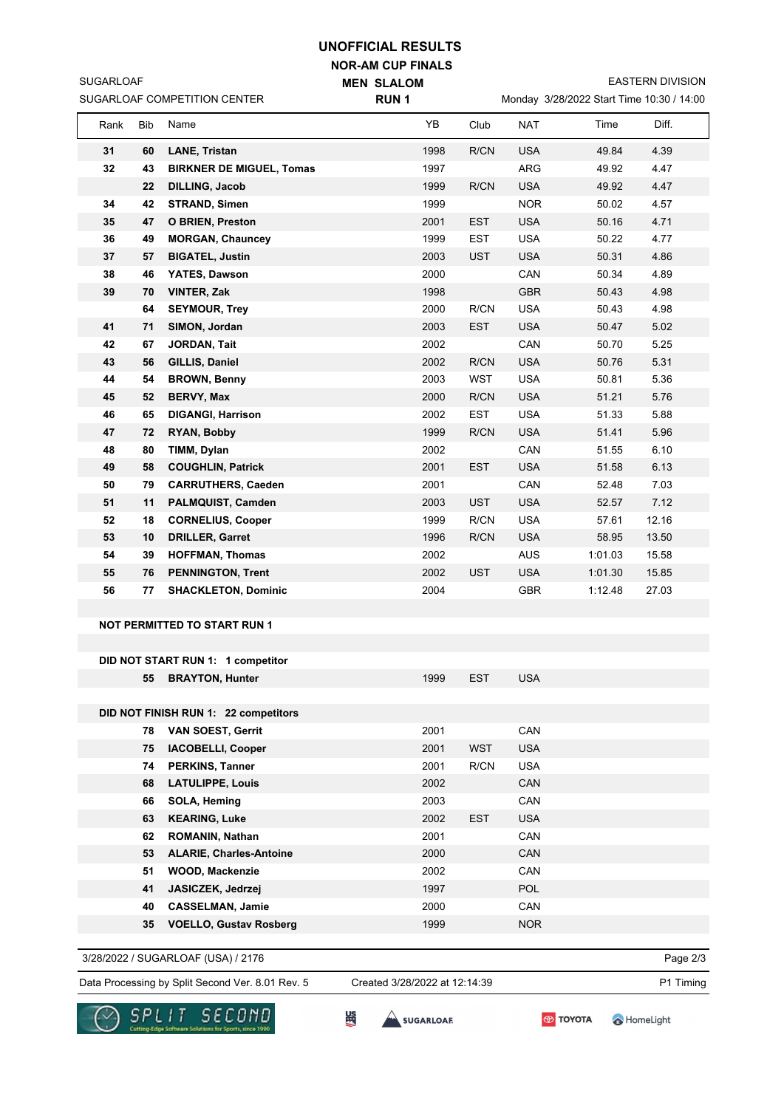## **UNOFFICIAL RESULTS**

**RUN 1**

**NOR-AM CUP FINALS MEN SLALOM** 

EASTERN DIVISION

| SUGARLOAF COMPETITION CENTER |  |
|------------------------------|--|
|                              |  |

SUGARLOAF

|  | Monday 3/28/2022 Start Time 10:30 / 14:00 |  |  |  |
|--|-------------------------------------------|--|--|--|
|  |                                           |  |  |  |

| Rank | Bib      | Name                                        | YB           | Club       | <b>NAT</b> | Time    | Diff. |
|------|----------|---------------------------------------------|--------------|------------|------------|---------|-------|
| 31   | 60       | <b>LANE, Tristan</b>                        | 1998         | R/CN       | <b>USA</b> | 49.84   | 4.39  |
| 32   | 43       | <b>BIRKNER DE MIGUEL, Tomas</b>             | 1997         |            | ARG        | 49.92   | 4.47  |
|      | 22       | <b>DILLING, Jacob</b>                       | 1999         | R/CN       | <b>USA</b> | 49.92   | 4.47  |
| 34   | 42       | <b>STRAND, Simen</b>                        | 1999         |            | <b>NOR</b> | 50.02   | 4.57  |
| 35   | 47       | <b>O BRIEN, Preston</b>                     | 2001         | <b>EST</b> | <b>USA</b> | 50.16   | 4.71  |
| 36   | 49       | <b>MORGAN, Chauncey</b>                     | 1999         | EST        | <b>USA</b> | 50.22   | 4.77  |
| 37   | 57       | <b>BIGATEL, Justin</b>                      | 2003         | <b>UST</b> | <b>USA</b> | 50.31   | 4.86  |
| 38   | 46       | YATES, Dawson                               | 2000         |            | CAN        | 50.34   | 4.89  |
| 39   | 70       | <b>VINTER, Zak</b>                          | 1998         |            | <b>GBR</b> | 50.43   | 4.98  |
|      | 64       | <b>SEYMOUR, Trey</b>                        | 2000         | R/CN       | <b>USA</b> | 50.43   | 4.98  |
| 41   | 71       | SIMON, Jordan                               | 2003         | <b>EST</b> | <b>USA</b> | 50.47   | 5.02  |
| 42   | 67       | JORDAN, Tait                                | 2002         |            | CAN        | 50.70   | 5.25  |
| 43   | 56       | GILLIS, Daniel                              | 2002         | R/CN       | <b>USA</b> | 50.76   | 5.31  |
| 44   | 54       | <b>BROWN, Benny</b>                         | 2003         | <b>WST</b> | <b>USA</b> | 50.81   | 5.36  |
| 45   | 52       | <b>BERVY, Max</b>                           | 2000         | R/CN       | <b>USA</b> | 51.21   | 5.76  |
| 46   | 65       | <b>DIGANGI, Harrison</b>                    | 2002         | EST        | <b>USA</b> | 51.33   | 5.88  |
| 47   | 72       | RYAN, Bobby                                 | 1999         | R/CN       | <b>USA</b> | 51.41   | 5.96  |
| 48   | 80       | TIMM, Dylan                                 | 2002         |            | CAN        | 51.55   | 6.10  |
| 49   | 58       | <b>COUGHLIN, Patrick</b>                    | 2001         | <b>EST</b> | <b>USA</b> | 51.58   | 6.13  |
| 50   | 79       | <b>CARRUTHERS, Caeden</b>                   | 2001         |            | CAN        | 52.48   | 7.03  |
| 51   | 11       | PALMQUIST, Camden                           | 2003         | <b>UST</b> | <b>USA</b> | 52.57   | 7.12  |
| 52   | 18       | <b>CORNELIUS, Cooper</b>                    | 1999         | R/CN       | <b>USA</b> | 57.61   | 12.16 |
| 53   | 10       | <b>DRILLER, Garret</b>                      | 1996         | R/CN       | <b>USA</b> | 58.95   | 13.50 |
| 54   | 39       | <b>HOFFMAN, Thomas</b>                      | 2002         |            | <b>AUS</b> | 1:01.03 | 15.58 |
| 55   | 76       | <b>PENNINGTON, Trent</b>                    | 2002         | <b>UST</b> | <b>USA</b> | 1:01.30 | 15.85 |
| 56   | 77       | <b>SHACKLETON, Dominic</b>                  | 2004         |            | <b>GBR</b> | 1:12.48 | 27.03 |
|      |          |                                             |              |            |            |         |       |
|      |          | <b>NOT PERMITTED TO START RUN 1</b>         |              |            |            |         |       |
|      |          |                                             |              |            |            |         |       |
|      |          | DID NOT START RUN 1: 1 competitor           |              |            |            |         |       |
|      | 55       | <b>BRAYTON, Hunter</b>                      | 1999         | <b>EST</b> | <b>USA</b> |         |       |
|      |          |                                             |              |            |            |         |       |
|      |          | DID NOT FINISH RUN 1: 22 competitors        |              |            |            |         |       |
|      | 78       | <b>VAN SOEST, Gerrit</b>                    | 2001         |            | CAN        |         |       |
|      | 75       | <b>IACOBELLI, Cooper</b>                    | 2001         | <b>WST</b> | <b>USA</b> |         |       |
|      | 74       | <b>PERKINS, Tanner</b>                      | 2001         | R/CN       | <b>USA</b> |         |       |
|      | 68       | <b>LATULIPPE, Louis</b>                     | 2002<br>2003 |            | CAN<br>CAN |         |       |
|      | 66       | SOLA, Heming                                |              |            |            |         |       |
|      | 63       | <b>KEARING, Luke</b>                        | 2002         | <b>EST</b> | <b>USA</b> |         |       |
|      | 62       | ROMANIN, Nathan                             | 2001         |            | CAN        |         |       |
|      | 53       | <b>ALARIE, Charles-Antoine</b>              | 2000         |            | CAN        |         |       |
|      | 51<br>41 | <b>WOOD, Mackenzie</b><br>JASICZEK, Jedrzej | 2002<br>1997 |            | CAN<br>POL |         |       |
|      | 40       | <b>CASSELMAN, Jamie</b>                     | 2000         |            | CAN        |         |       |
|      | 35       | <b>VOELLO, Gustav Rosberg</b>               | 1999         |            | <b>NOR</b> |         |       |
|      |          |                                             |              |            |            |         |       |

3/28/2022 / SUGARLOAF (USA) / 2176

Data Processing by Split Second Ver. 8.01 Rev. 5 Created 3/28/2022 at 12:14:39 P1 Timing Created 3/28/2022 at 12:14:39